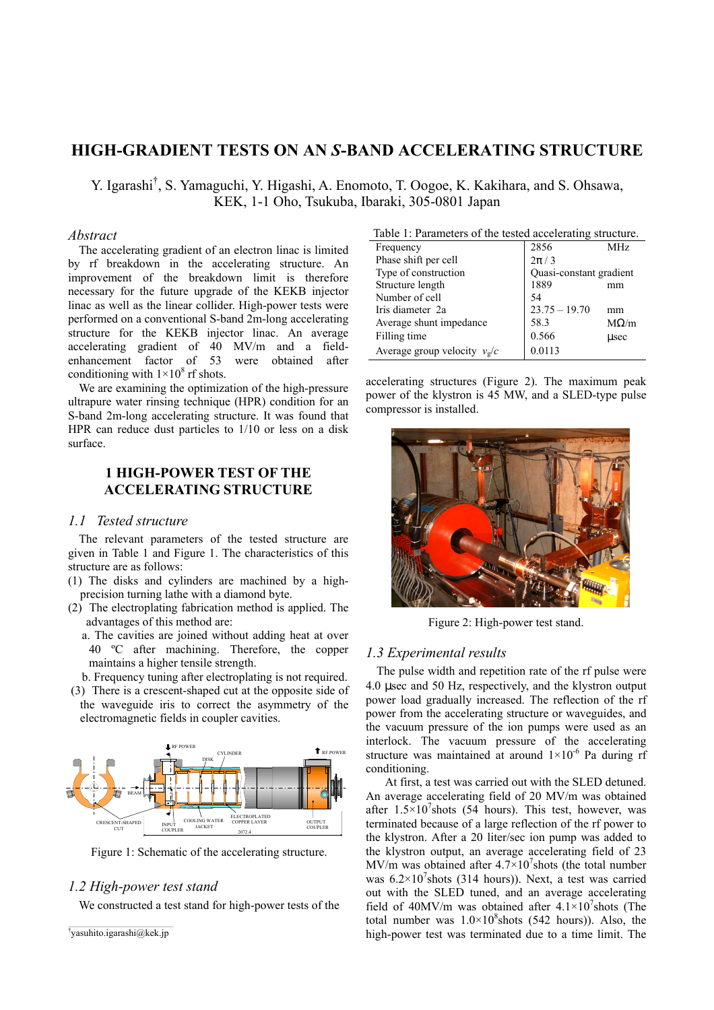# **HIGH-GRADIENT TESTS ON AN** *S***-BAND ACCELERATING STRUCTURE**

Y. Igarashi† , S. Yamaguchi, Y. Higashi, A. Enomoto, T. Oogoe, K. Kakihara, and S. Ohsawa, KEK, 1-1 Oho, Tsukuba, Ibaraki, 305-0801 Japan

#### *Abstract*

The accelerating gradient of an electron linac is limited by rf breakdown in the accelerating structure. An improvement of the breakdown limit is therefore necessary for the future upgrade of the KEKB injector linac as well as the linear collider. High-power tests were performed on a conventional S-band 2m-long accelerating structure for the KEKB injector linac. An average accelerating gradient of 40 MV/m and a fieldenhancement factor of 53 were obtained after conditioning with  $1 \times 10^8$  rf shots.

We are examining the optimization of the high-pressure ultrapure water rinsing technique (HPR) condition for an S-band 2m-long accelerating structure. It was found that HPR can reduce dust particles to 1/10 or less on a disk surface.

# **1 HIGH-POWER TEST OF THE ACCELERATING STRUCTURE**

## *1.1 Tested structure*

The relevant parameters of the tested structure are given in Table 1 and Figure 1. The characteristics of this structure are as follows:

- (1) The disks and cylinders are machined by a highprecision turning lathe with a diamond byte.
- (2) The electroplating fabrication method is applied. The advantages of this method are:
	- a. The cavities are joined without adding heat at over 40 ºC after machining. Therefore, the copper maintains a higher tensile strength.
	- b. Frequency tuning after electroplating is not required.
- (3) There is a crescent-shaped cut at the opposite side of the waveguide iris to correct the asymmetry of the electromagnetic fields in coupler cavities.



Figure 1: Schematic of the accelerating structure.

## *1.2 High-power test stand*

We constructed a test stand for high-power tests of the

```
†
yasuhito.igarashi@kek.jp
```

| Table 1: Parameters of the tested accelerating structure. |                         |             |
|-----------------------------------------------------------|-------------------------|-------------|
| Frequency                                                 | 2856                    | MHz         |
| Phase shift per cell                                      | $2\pi/3$                |             |
| Type of construction                                      | Quasi-constant gradient |             |
| Structure length                                          | 1889                    | mm          |
| Number of cell                                            | 54                      |             |
| Iris diameter 2a                                          | $23.75 - 19.70$         | mm          |
| Average shunt impedance                                   | 58.3                    | $M\Omega/m$ |
| Filling time                                              | 0.566                   | usec        |
| Average group velocity $v_g/c$                            | 0.0113                  |             |

accelerating structures (Figure 2). The maximum peak power of the klystron is 45 MW, and a SLED-type pulse compressor is installed.



Figure 2: High-power test stand.

### *1.3 Experimental results*

The pulse width and repetition rate of the rf pulse were 4.0 µsec and 50 Hz, respectively, and the klystron output power load gradually increased. The reflection of the rf power from the accelerating structure or waveguides, and the vacuum pressure of the ion pumps were used as an interlock. The vacuum pressure of the accelerating structure was maintained at around  $1\times10^{-6}$  Pa during rf conditioning.

 At first, a test was carried out with the SLED detuned. An average accelerating field of 20 MV/m was obtained after  $1.5 \times 10^7$ shots (54 hours). This test, however, was terminated because of a large reflection of the rf power to the klystron. After a 20 liter/sec ion pump was added to the klystron output, an average accelerating field of 23 MV/m was obtained after  $4.7 \times 10^7$  shots (the total number was  $6.2 \times 10^7$ shots (314 hours)). Next, a test was carried out with the SLED tuned, and an average accelerating field of 40MV/m was obtained after  $4.1 \times 10^{7}$ shots (The total number was  $1.0 \times 10^8$ shots (542 hours)). Also, the high-power test was terminated due to a time limit. The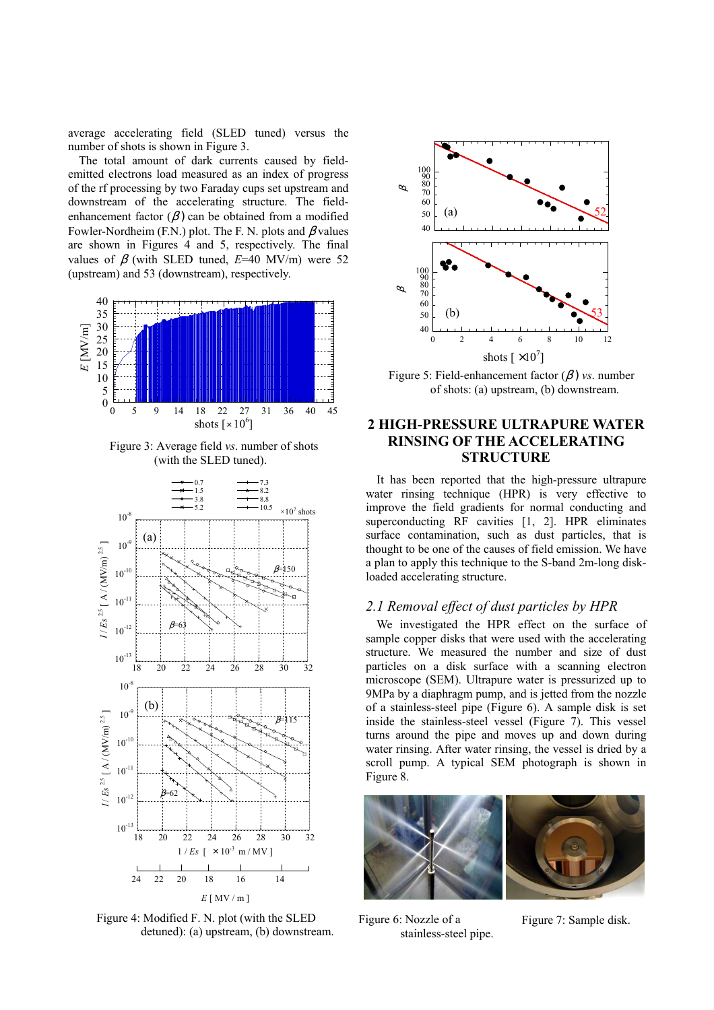average accelerating field (SLED tuned) versus the number of shots is shown in Figure 3.

The total amount of dark currents caused by fieldemitted electrons load measured as an index of progress of the rf processing by two Faraday cups set upstream and downstream of the accelerating structure. The fieldenhancement factor  $(\beta)$  can be obtained from a modified Fowler-Nordheim (F.N.) plot. The F. N. plots and  $\beta$  values are shown in Figures 4 and 5, respectively. The final values of β (with SLED tuned, *E*=40 MV/m) were 52 (upstream) and 53 (downstream), respectively.



Figure 3: Average field *vs*. number of shots (with the SLED tuned).



Figure 4: Modified F. N. plot (with the SLED detuned): (a) upstream, (b) downstream.



Figure 5: Field-enhancement factor (β ) *vs*. number of shots: (a) upstream, (b) downstream.

# **2 HIGH-PRESSURE ULTRAPURE WATER RINSING OF THE ACCELERATING STRUCTURE**

It has been reported that the high-pressure ultrapure water rinsing technique (HPR) is very effective to improve the field gradients for normal conducting and superconducting RF cavities [1, 2]. HPR eliminates surface contamination, such as dust particles, that is thought to be one of the causes of field emission. We have a plan to apply this technique to the S-band 2m-long diskloaded accelerating structure.

# *2.1 Removal effect of dust particles by HPR*

We investigated the HPR effect on the surface of sample copper disks that were used with the accelerating structure. We measured the number and size of dust particles on a disk surface with a scanning electron microscope (SEM). Ultrapure water is pressurized up to 9MPa by a diaphragm pump, and is jetted from the nozzle of a stainless-steel pipe (Figure 6). A sample disk is set inside the stainless-steel vessel (Figure 7). This vessel turns around the pipe and moves up and down during water rinsing. After water rinsing, the vessel is dried by a scroll pump. A typical SEM photograph is shown in Figure 8.



Figure 6: Nozzle of a stainless-steel pipe.

Figure 7: Sample disk.